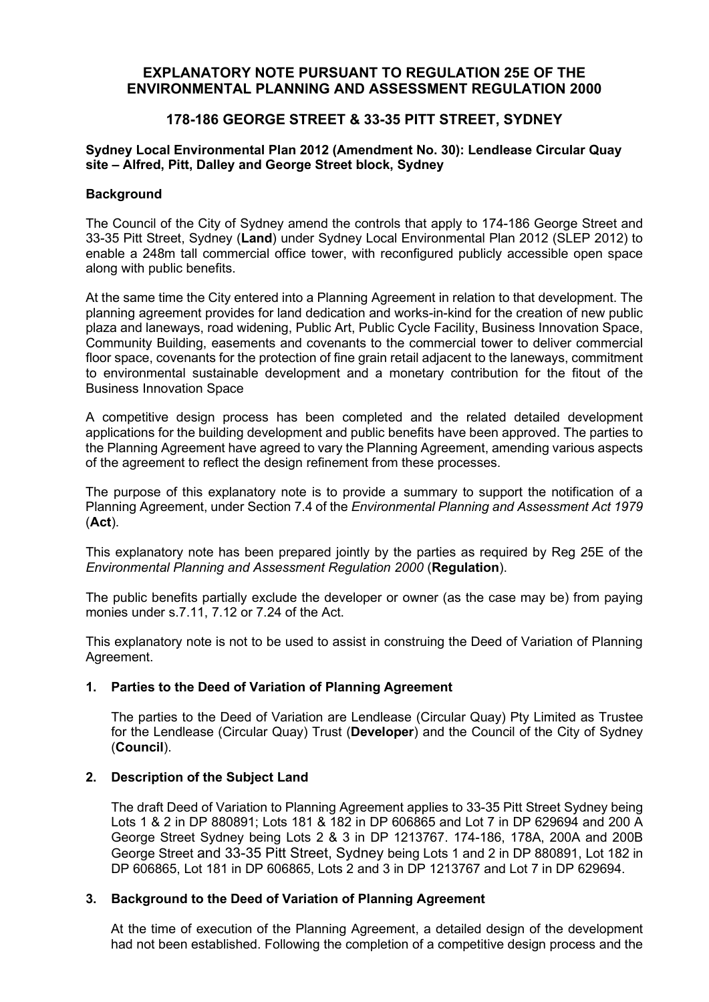# **EXPLANATORY NOTE PURSUANT TO REGULATION 25E OF THE ENVIRONMENTAL PLANNING AND ASSESSMENT REGULATION 2000**

# **178-186 GEORGE STREET & 33-35 PITT STREET, SYDNEY**

## **Sydney Local Environmental Plan 2012 (Amendment No. 30): Lendlease Circular Quay site – Alfred, Pitt, Dalley and George Street block, Sydney**

### **Background**

The Council of the City of Sydney amend the controls that apply to 174-186 George Street and 33-35 Pitt Street, Sydney (**Land**) under Sydney Local Environmental Plan 2012 (SLEP 2012) to enable a 248m tall commercial office tower, with reconfigured publicly accessible open space along with public benefits.

At the same time the City entered into a Planning Agreement in relation to that development. The planning agreement provides for land dedication and works-in-kind for the creation of new public plaza and laneways, road widening, Public Art, Public Cycle Facility, Business Innovation Space, Community Building, easements and covenants to the commercial tower to deliver commercial floor space, covenants for the protection of fine grain retail adjacent to the laneways, commitment to environmental sustainable development and a monetary contribution for the fitout of the Business Innovation Space

A competitive design process has been completed and the related detailed development applications for the building development and public benefits have been approved. The parties to the Planning Agreement have agreed to vary the Planning Agreement, amending various aspects of the agreement to reflect the design refinement from these processes.

The purpose of this explanatory note is to provide a summary to support the notification of a Planning Agreement, under Section 7.4 of the *Environmental Planning and Assessment Act 1979*  (**Act**).

This explanatory note has been prepared jointly by the parties as required by Reg 25E of the *Environmental Planning and Assessment Regulation 2000* (**Regulation**).

The public benefits partially exclude the developer or owner (as the case may be) from paying monies under s.7.11, 7.12 or 7.24 of the Act.

This explanatory note is not to be used to assist in construing the Deed of Variation of Planning Agreement.

## **1. Parties to the Deed of Variation of Planning Agreement**

The parties to the Deed of Variation are Lendlease (Circular Quay) Pty Limited as Trustee for the Lendlease (Circular Quay) Trust (**Developer**) and the Council of the City of Sydney (**Council**).

### **2. Description of the Subject Land**

The draft Deed of Variation to Planning Agreement applies to 33-35 Pitt Street Sydney being Lots 1 & 2 in DP 880891; Lots 181 & 182 in DP 606865 and Lot 7 in DP 629694 and 200 A George Street Sydney being Lots 2 & 3 in DP 1213767. 174-186, 178A, 200A and 200B George Street and 33-35 Pitt Street, Sydney being Lots 1 and 2 in DP 880891, Lot 182 in DP 606865, Lot 181 in DP 606865, Lots 2 and 3 in DP 1213767 and Lot 7 in DP 629694.

## **3. Background to the Deed of Variation of Planning Agreement**

At the time of execution of the Planning Agreement, a detailed design of the development had not been established. Following the completion of a competitive design process and the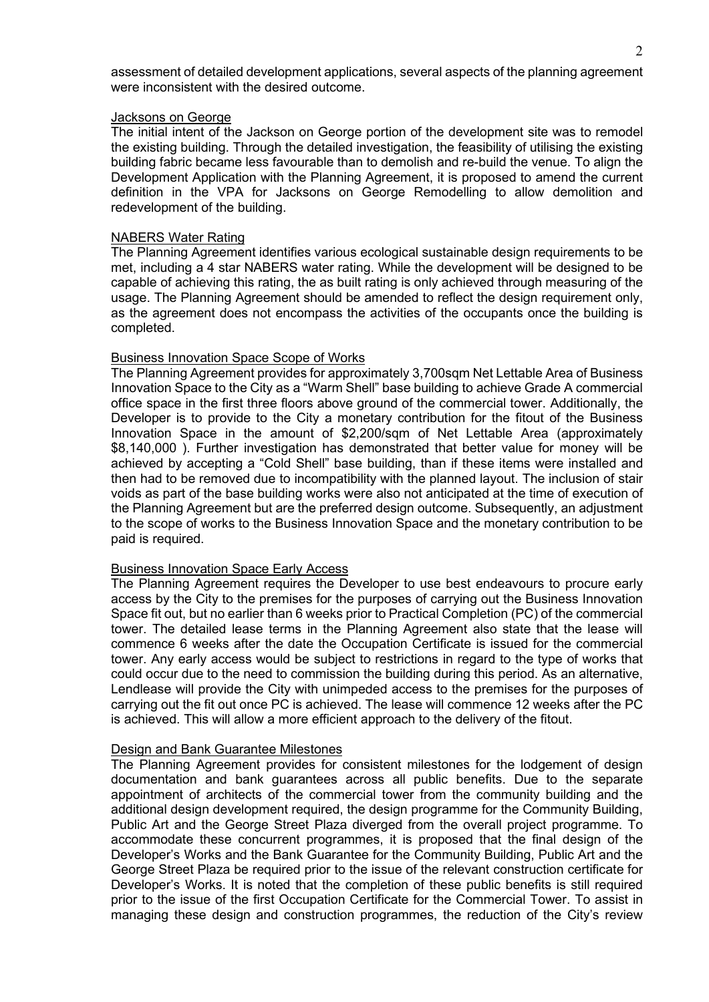assessment of detailed development applications, several aspects of the planning agreement were inconsistent with the desired outcome.

#### Jacksons on George

The initial intent of the Jackson on George portion of the development site was to remodel the existing building. Through the detailed investigation, the feasibility of utilising the existing building fabric became less favourable than to demolish and re-build the venue. To align the Development Application with the Planning Agreement, it is proposed to amend the current definition in the VPA for Jacksons on George Remodelling to allow demolition and redevelopment of the building.

#### NABERS Water Rating

The Planning Agreement identifies various ecological sustainable design requirements to be met, including a 4 star NABERS water rating. While the development will be designed to be capable of achieving this rating, the as built rating is only achieved through measuring of the usage. The Planning Agreement should be amended to reflect the design requirement only, as the agreement does not encompass the activities of the occupants once the building is completed.

#### Business Innovation Space Scope of Works

The Planning Agreement provides for approximately 3,700sqm Net Lettable Area of Business Innovation Space to the City as a "Warm Shell" base building to achieve Grade A commercial office space in the first three floors above ground of the commercial tower. Additionally, the Developer is to provide to the City a monetary contribution for the fitout of the Business Innovation Space in the amount of \$2,200/sqm of Net Lettable Area (approximately \$8,140,000 ). Further investigation has demonstrated that better value for money will be achieved by accepting a "Cold Shell" base building, than if these items were installed and then had to be removed due to incompatibility with the planned layout. The inclusion of stair voids as part of the base building works were also not anticipated at the time of execution of the Planning Agreement but are the preferred design outcome. Subsequently, an adjustment to the scope of works to the Business Innovation Space and the monetary contribution to be paid is required.

### Business Innovation Space Early Access

The Planning Agreement requires the Developer to use best endeavours to procure early access by the City to the premises for the purposes of carrying out the Business Innovation Space fit out, but no earlier than 6 weeks prior to Practical Completion (PC) of the commercial tower. The detailed lease terms in the Planning Agreement also state that the lease will commence 6 weeks after the date the Occupation Certificate is issued for the commercial tower. Any early access would be subject to restrictions in regard to the type of works that could occur due to the need to commission the building during this period. As an alternative, Lendlease will provide the City with unimpeded access to the premises for the purposes of carrying out the fit out once PC is achieved. The lease will commence 12 weeks after the PC is achieved. This will allow a more efficient approach to the delivery of the fitout.

#### Design and Bank Guarantee Milestones

The Planning Agreement provides for consistent milestones for the lodgement of design documentation and bank guarantees across all public benefits. Due to the separate appointment of architects of the commercial tower from the community building and the additional design development required, the design programme for the Community Building, Public Art and the George Street Plaza diverged from the overall project programme. To accommodate these concurrent programmes, it is proposed that the final design of the Developer's Works and the Bank Guarantee for the Community Building, Public Art and the George Street Plaza be required prior to the issue of the relevant construction certificate for Developer's Works. It is noted that the completion of these public benefits is still required prior to the issue of the first Occupation Certificate for the Commercial Tower. To assist in managing these design and construction programmes, the reduction of the City's review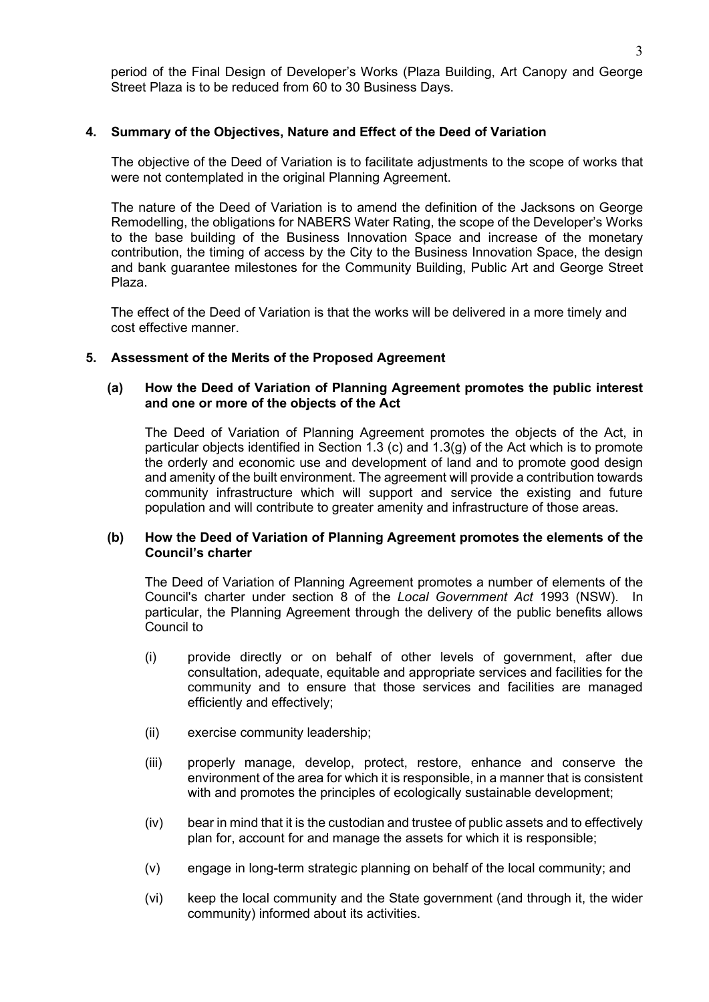period of the Final Design of Developer's Works (Plaza Building, Art Canopy and George Street Plaza is to be reduced from 60 to 30 Business Days.

## **4. Summary of the Objectives, Nature and Effect of the Deed of Variation**

The objective of the Deed of Variation is to facilitate adjustments to the scope of works that were not contemplated in the original Planning Agreement.

The nature of the Deed of Variation is to amend the definition of the Jacksons on George Remodelling, the obligations for NABERS Water Rating, the scope of the Developer's Works to the base building of the Business Innovation Space and increase of the monetary contribution, the timing of access by the City to the Business Innovation Space, the design and bank guarantee milestones for the Community Building, Public Art and George Street Plaza.

The effect of the Deed of Variation is that the works will be delivered in a more timely and cost effective manner.

### **5. Assessment of the Merits of the Proposed Agreement**

### **(a) How the Deed of Variation of Planning Agreement promotes the public interest and one or more of the objects of the Act**

The Deed of Variation of Planning Agreement promotes the objects of the Act, in particular objects identified in Section 1.3 (c) and 1.3(g) of the Act which is to promote the orderly and economic use and development of land and to promote good design and amenity of the built environment. The agreement will provide a contribution towards community infrastructure which will support and service the existing and future population and will contribute to greater amenity and infrastructure of those areas.

### **(b) How the Deed of Variation of Planning Agreement promotes the elements of the Council's charter**

The Deed of Variation of Planning Agreement promotes a number of elements of the Council's charter under section 8 of the *Local Government Act* 1993 (NSW). In particular, the Planning Agreement through the delivery of the public benefits allows Council to

- (i) provide directly or on behalf of other levels of government, after due consultation, adequate, equitable and appropriate services and facilities for the community and to ensure that those services and facilities are managed efficiently and effectively;
- (ii) exercise community leadership;
- (iii) properly manage, develop, protect, restore, enhance and conserve the environment of the area for which it is responsible, in a manner that is consistent with and promotes the principles of ecologically sustainable development;
- (iv) bear in mind that it is the custodian and trustee of public assets and to effectively plan for, account for and manage the assets for which it is responsible;
- (v) engage in long-term strategic planning on behalf of the local community; and
- (vi) keep the local community and the State government (and through it, the wider community) informed about its activities.